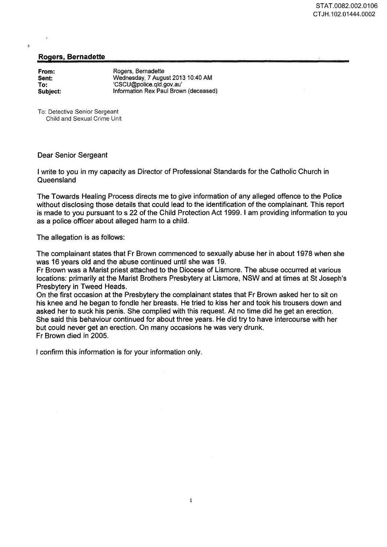## Rogers, Bernadette

| From:    |
|----------|
| Sent:    |
| To:      |
| Subject: |

 $\mathbf{t}$ 

Rogers, Bernadette Wednesday, 7 August 2013 10:40 AM 'CSCU@police.qld.gov.au' Information Rex Paul Brown (deceased)

To: Detective Senior Sergeant Child and Sexual Crime Unit

## Dear Senior Sergeant

I write to you in my capacity as Director of Professional Standards for the Catholic Church in **Queensland** 

The Towards Healing Process directs me to give information of any alleged offence to the Police without disclosing those details that could lead to the identification of the complainant. This report is made to you pursuant to s 22 of the Child Protection Act 1999. I am providing information to you as a police officer about alleged harm to a child.

The allegation is as follows:

The complainant states that Fr Brown commenced to sexually abuse her in about 1978 when she was 16 years old and the abuse continued until she was 19.

Fr Brown was a Marist priest attached to the Diocese of Lismore. The abuse occurred at various locations: primarily at the Marist Brothers Presbytery at Lismore, NSW and at times at St Joseph's Presbytery in Tweed Heads.

On the first occasion at the Presbytery the complainant states that Fr Brown asked her to sit on his knee and he began to fondle her breasts. He tried to kiss her and took his trousers down and asked her to suck his penis. She complied with this request. At no time did he get an erection. She said this behaviour continued for about three years. He did try to have intercourse with her but could never get an erection. On many occasions he was very drunk. Fr Brown died in 2005.

I confirm this information is for your information only.